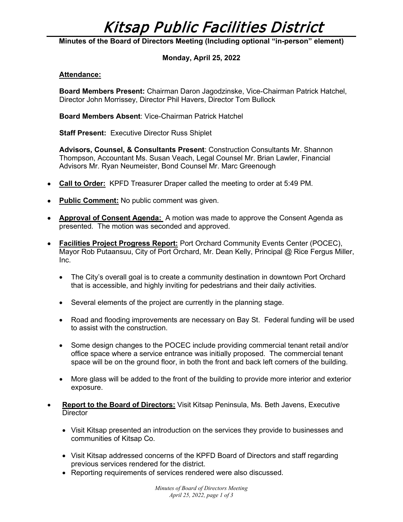# Kitsap Public Facilities District

**Minutes of the Board of Directors Meeting (Including optional "in-person" element)**

## **Monday, April 25, 2022**

#### **Attendance:**

**Board Members Present:** Chairman Daron Jagodzinske, Vice-Chairman Patrick Hatchel, Director John Morrissey, Director Phil Havers, Director Tom Bullock

**Board Members Absent**: Vice-Chairman Patrick Hatchel

**Staff Present:** Executive Director Russ Shiplet

**Advisors, Counsel, & Consultants Present**: Construction Consultants Mr. Shannon Thompson, Accountant Ms. Susan Veach, Legal Counsel Mr. Brian Lawler, Financial Advisors Mr. Ryan Neumeister, Bond Counsel Mr. Marc Greenough

- **Call to Order:** KPFD Treasurer Draper called the meeting to order at 5:49 PM.
- **Public Comment:** No public comment was given.
- **Approval of Consent Agenda:** A motion was made to approve the Consent Agenda as presented. The motion was seconded and approved.
- **Facilities Project Progress Report:** Port Orchard Community Events Center (POCEC), Mayor Rob Putaansuu, City of Port Orchard, Mr. Dean Kelly, Principal @ Rice Fergus Miller, Inc.
	- The City's overall goal is to create a community destination in downtown Port Orchard that is accessible, and highly inviting for pedestrians and their daily activities.
	- Several elements of the project are currently in the planning stage.
	- Road and flooding improvements are necessary on Bay St. Federal funding will be used to assist with the construction.
	- Some design changes to the POCEC include providing commercial tenant retail and/or office space where a service entrance was initially proposed. The commercial tenant space will be on the ground floor, in both the front and back left corners of the building.
	- More glass will be added to the front of the building to provide more interior and exterior exposure.
- **Report to the Board of Directors:** Visit Kitsap Peninsula, Ms. Beth Javens, Executive **Director** 
	- Visit Kitsap presented an introduction on the services they provide to businesses and communities of Kitsap Co.
	- Visit Kitsap addressed concerns of the KPFD Board of Directors and staff regarding previous services rendered for the district.
	- Reporting requirements of services rendered were also discussed.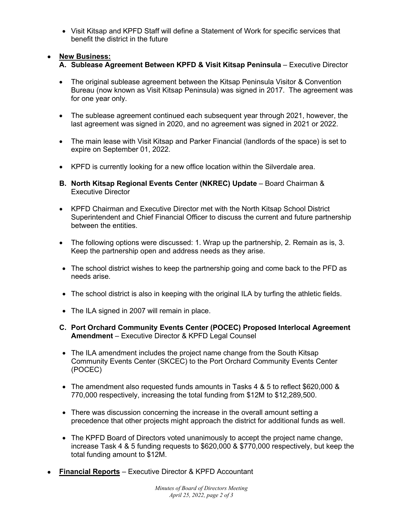• Visit Kitsap and KPFD Staff will define a Statement of Work for specific services that benefit the district in the future

# • **New Business:**

- **A. Sublease Agreement Between KPFD & Visit Kitsap Peninsula** Executive Director
- The original sublease agreement between the Kitsap Peninsula Visitor & Convention Bureau (now known as Visit Kitsap Peninsula) was signed in 2017. The agreement was for one year only.
- The sublease agreement continued each subsequent year through 2021, however, the last agreement was signed in 2020, and no agreement was signed in 2021 or 2022.
- The main lease with Visit Kitsap and Parker Financial (landlords of the space) is set to expire on September 01, 2022.
- KPFD is currently looking for a new office location within the Silverdale area.
- **B. North Kitsap Regional Events Center (NKREC) Update** Board Chairman & Executive Director
- KPFD Chairman and Executive Director met with the North Kitsap School District Superintendent and Chief Financial Officer to discuss the current and future partnership between the entities.
- The following options were discussed: 1. Wrap up the partnership, 2. Remain as is, 3. Keep the partnership open and address needs as they arise.
- The school district wishes to keep the partnership going and come back to the PFD as needs arise.
- The school district is also in keeping with the original ILA by turfing the athletic fields.
- The ILA signed in 2007 will remain in place.
- **C. Port Orchard Community Events Center (POCEC) Proposed Interlocal Agreement Amendment** – Executive Director & KPFD Legal Counsel
- The ILA amendment includes the project name change from the South Kitsap Community Events Center (SKCEC) to the Port Orchard Community Events Center (POCEC)
- The amendment also requested funds amounts in Tasks 4 & 5 to reflect \$620,000 & 770,000 respectively, increasing the total funding from \$12M to \$12,289,500.
- There was discussion concerning the increase in the overall amount setting a precedence that other projects might approach the district for additional funds as well.
- The KPFD Board of Directors voted unanimously to accept the project name change, increase Task 4 & 5 funding requests to \$620,000 & \$770,000 respectively, but keep the total funding amount to \$12M.
- **Financial Reports** Executive Director & KPFD Accountant